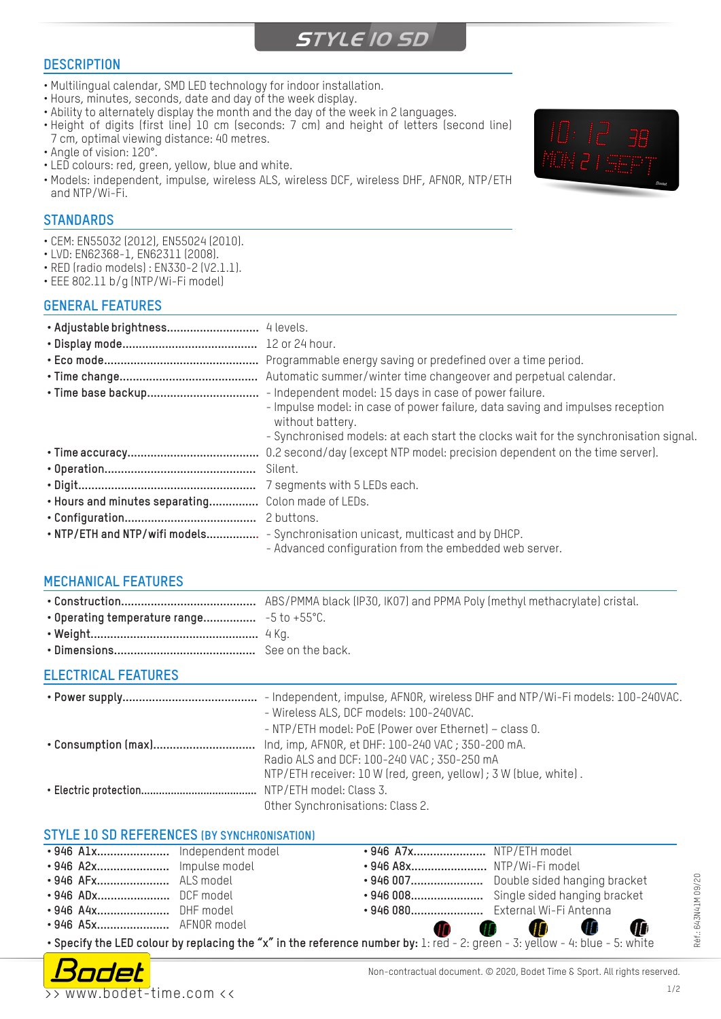## **STYLE 10 SD**

#### **DESCRIPTION**

- Multilingual calendar, SMD LED technology for indoor installation.
- Hours, minutes, seconds, date and day of the week display.
- Ability to alternately display the month and the day of the week in 2 languages.
- Height of digits (first line) 10 cm (seconds: 7 cm) and height of letters (second line) 7 cm, optimal viewing distance: 40 metres.
- Angle of vision: 120°.
- LED colours: red, green, yellow, blue and white.
- Models: independent, impulse, wireless ALS, wireless DCF, wireless DHF, AFNOR, NTP/ETH and NTP/Wi-Fi.

## **STANDARDS**

- CEM: EN55032 (2012), EN55024 (2010).
- LVD: EN62368-1, EN62311 (2008).
- RED (radio models) : EN330-2 (V2.1.1).
- EEE 802.11 b/g (NTP/Wi-Fi model)

#### **GENERAL FEATURES**

|                                | Programmable energy saving or predefined over a time period.                                                                              |
|--------------------------------|-------------------------------------------------------------------------------------------------------------------------------------------|
|                                | Automatic summer/winter time changeover and perpetual calendar.                                                                           |
| · Time base backup             | - Independent model: 15 days in case of power failure.                                                                                    |
|                                | - Impulse model: in case of power failure, data saving and impulses reception<br>without battery.                                         |
|                                | - Synchronised models: at each start the clocks wait for the synchronisation signal.                                                      |
|                                |                                                                                                                                           |
|                                |                                                                                                                                           |
|                                | 7 segments with 5 LEDs each.                                                                                                              |
| . Hours and minutes separating | Colon made of LEDs.                                                                                                                       |
|                                |                                                                                                                                           |
|                                | . NTP/ETH and NTP/wifi models - Synchronisation unicast, multicast and by DHCP.<br>- Advanced configuration from the embedded web server. |
|                                |                                                                                                                                           |

#### **MECHANICAL FEATURES**

### **ELECTRICAL FEATURES**

|                     | - Independent, impulse, AFNOR, wireless DHF and NTP/Wi-Fi models: 100-240VAC. |  |  |
|---------------------|-------------------------------------------------------------------------------|--|--|
|                     | - Wireless ALS, DCF models: 100-240VAC.                                       |  |  |
|                     | - NTP/ETH model: PoE (Power over Ethernet) - class 0.                         |  |  |
| • Consumption (max) | Ind, imp, AFNOR, et DHF: 100-240 VAC ; 350-200 mA.                            |  |  |
|                     | Radio ALS and DCF: 100-240 VAC; 350-250 mA                                    |  |  |
|                     | NTP/ETH receiver: 10 W (red, green, yellow); 3 W (blue, white).               |  |  |
|                     |                                                                               |  |  |
|                     | Other Synchronisations: Class 2.                                              |  |  |

#### **STYLE 10 SD REFERENCES (BY SYNCHRONISATION)**

|                                                                                                                              |                       |  | • 946 A7x NTP/ETH model          |                                          |  |  |
|------------------------------------------------------------------------------------------------------------------------------|-----------------------|--|----------------------------------|------------------------------------------|--|--|
|                                                                                                                              |                       |  | • 946 A8x NTP/Wi-Fi model        |                                          |  |  |
|                                                                                                                              | • 946 AFx ALS model   |  |                                  | • 946 007 Double sided hanging bracket   |  |  |
|                                                                                                                              | •946 ADx DCF model    |  |                                  | • 946 008 Single sided hanging bracket   |  |  |
|                                                                                                                              | • 946 A4x DHF model   |  | • 946 080 External Wi-Fi Antenna |                                          |  |  |
|                                                                                                                              | • 946 A5x AFNOR model |  |                                  | O<br>$\mathbf 0$ $\mathbf 0$ $\mathbf 0$ |  |  |
| • Specify the LED colour by replacing the "x" in the reference number by: 1: red - 2: green - 3: yellow - 4: blue - 5: white |                       |  |                                  |                                          |  |  |